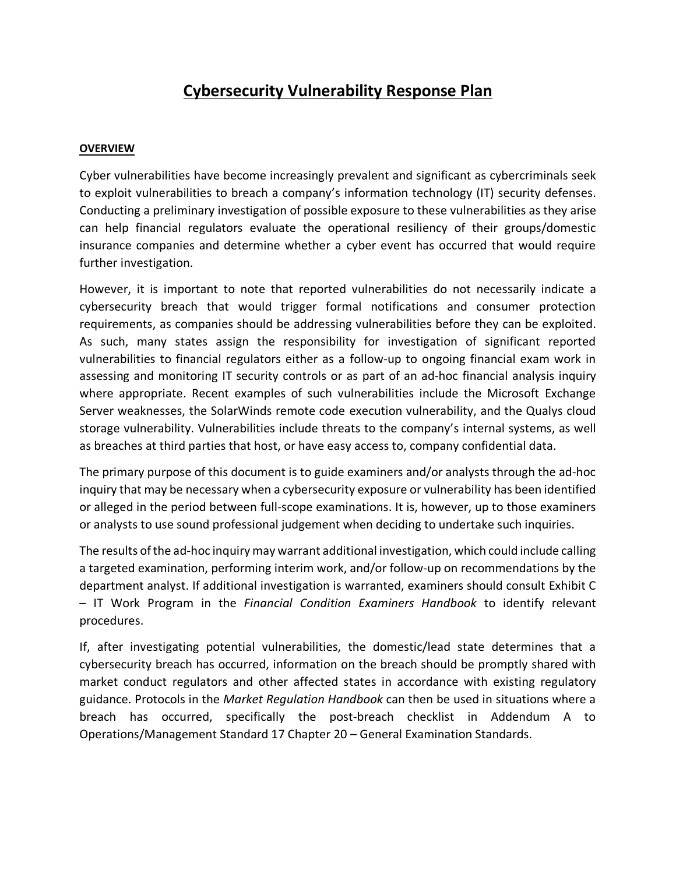# **Cybersecurity Vulnerability Response Plan**

#### **OVERVIEW**

Cyber vulnerabilities have become increasingly prevalent and significant as cybercriminals seek to exploit vulnerabilities to breach a company's information technology (IT) security defenses. Conducting a preliminary investigation of possible exposure to these vulnerabilities as they arise can help financial regulators evaluate the operational resiliency of their groups/domestic insurance companies and determine whether a cyber event has occurred that would require further investigation.

However, it is important to note that reported vulnerabilities do not necessarily indicate a cybersecurity breach that would trigger formal notifications and consumer protection requirements, as companies should be addressing vulnerabilities before they can be exploited. As such, many states assign the responsibility for investigation of significant reported vulnerabilities to financial regulators either as a follow-up to ongoing financial exam work in assessing and monitoring IT security controls or as part of an ad-hoc financial analysis inquiry where appropriate. Recent examples of such vulnerabilities include the Microsoft Exchange Server weaknesses, the SolarWinds remote code execution vulnerability, and the Qualys cloud storage vulnerability. Vulnerabilities include threats to the company's internal systems, as well as breaches at third parties that host, or have easy access to, company confidential data.

The primary purpose of this document is to guide examiners and/or analysts through the ad-hoc inquiry that may be necessary when a cybersecurity exposure or vulnerability has been identified or alleged in the period between full-scope examinations. It is, however, up to those examiners or analysts to use sound professional judgement when deciding to undertake such inquiries.

The results of the ad-hoc inquiry may warrant additional investigation, which could include calling a targeted examination, performing interim work, and/or follow-up on recommendations by the department analyst. If additional investigation is warranted, examiners should consult Exhibit C – IT Work Program in the *Financial Condition Examiners Handbook* to identify relevant procedures.

If, after investigating potential vulnerabilities, the domestic/lead state determines that a cybersecurity breach has occurred, information on the breach should be promptly shared with market conduct regulators and other affected states in accordance with existing regulatory guidance. Protocols in the *Market Regulation Handbook* can then be used in situations where a breach has occurred, specifically the post-breach checklist in Addendum A to Operations/Management Standard 17 Chapter 20 – General Examination Standards.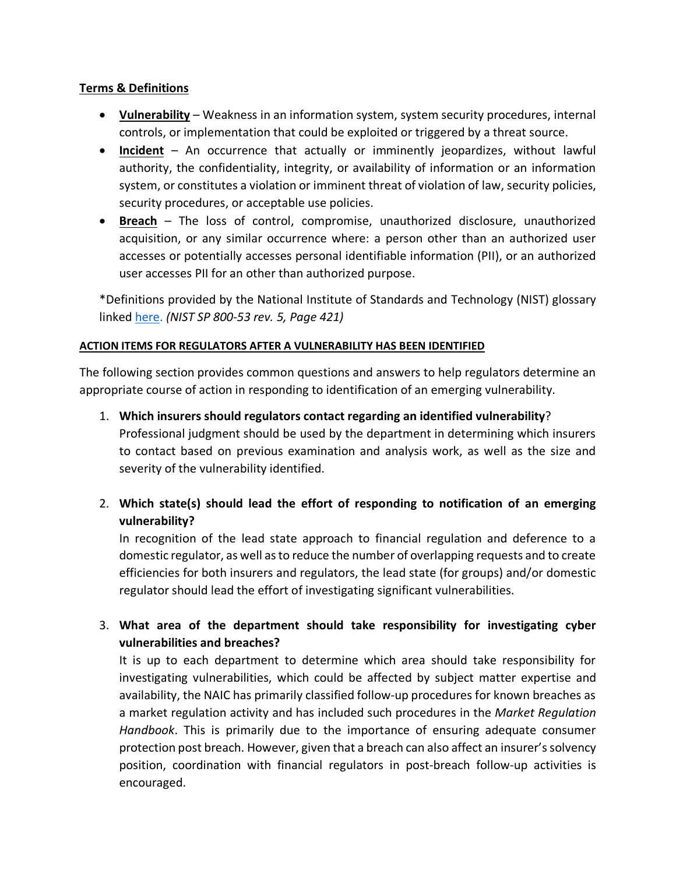#### **Terms & Definitions**

- **Vulnerability** Weakness in an information system, system security procedures, internal controls, or implementation that could be exploited or triggered by a threat source.
- **Incident** An occurrence that actually or imminently jeopardizes, without lawful authority, the confidentiality, integrity, or availability of information or an information system, or constitutes a violation or imminent threat of violation of law, security policies, security procedures, or acceptable use policies.
- **Breach** The loss of control, compromise, unauthorized disclosure, unauthorized acquisition, or any similar occurrence where: a person other than an authorized user accesses or potentially accesses personal identifiable information (PII), or an authorized user accesses PII for an other than authorized purpose.

\*Definitions provided by the National Institute of Standards and Technology (NIST) glossary linked [here.](https://nvlpubs.nist.gov/nistpubs/SpecialPublications/NIST.SP.800-53r5.pdf) *(NIST SP 800-53 rev. 5, Page 421)*

#### **ACTION ITEMS FOR REGULATORS AFTER A VULNERABILITY HAS BEEN IDENTIFIED**

The following section provides common questions and answers to help regulators determine an appropriate course of action in responding to identification of an emerging vulnerability.

- 1. **Which insurers should regulators contact regarding an identified vulnerability**? Professional judgment should be used by the department in determining which insurers to contact based on previous examination and analysis work, as well as the size and severity of the vulnerability identified.
- 2. **Which state(s) should lead the effort of responding to notification of an emerging vulnerability?**

In recognition of the lead state approach to financial regulation and deference to a domestic regulator, as well as to reduce the number of overlapping requests and to create efficiencies for both insurers and regulators, the lead state (for groups) and/or domestic regulator should lead the effort of investigating significant vulnerabilities.

3. **What area of the department should take responsibility for investigating cyber vulnerabilities and breaches?**

It is up to each department to determine which area should take responsibility for investigating vulnerabilities, which could be affected by subject matter expertise and availability, the NAIC has primarily classified follow-up procedures for known breaches as a market regulation activity and has included such procedures in the *Market Regulation Handbook*. This is primarily due to the importance of ensuring adequate consumer protection post breach. However, given that a breach can also affect an insurer's solvency position, coordination with financial regulators in post-breach follow-up activities is encouraged.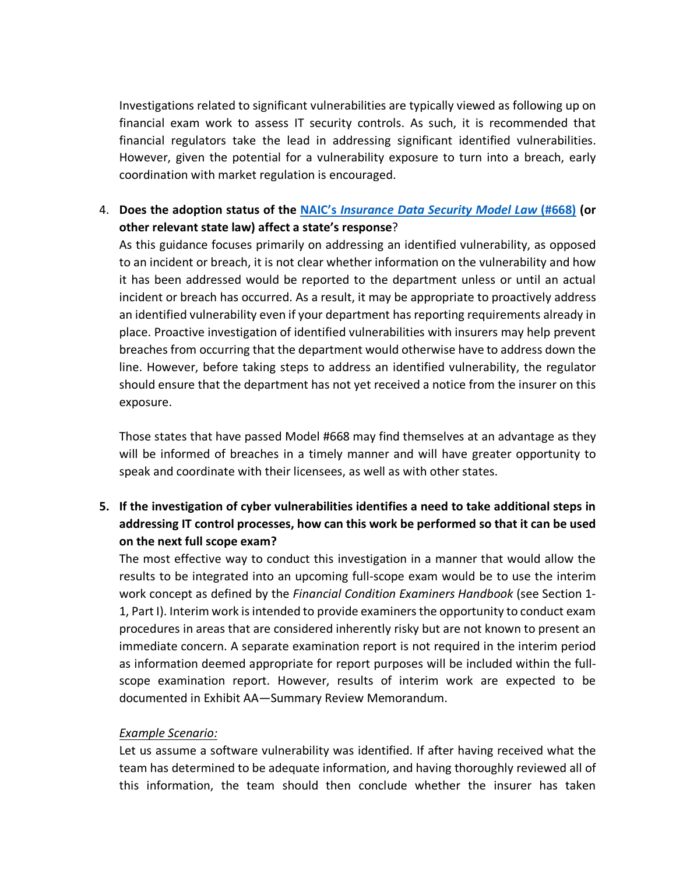Investigations related to significant vulnerabilities are typically viewed as following up on financial exam work to assess IT security controls. As such, it is recommended that financial regulators take the lead in addressing significant identified vulnerabilities. However, given the potential for a vulnerability exposure to turn into a breach, early coordination with market regulation is encouraged.

## 4. **Does the adoption status of the NAIC's** *[Insurance Data Security Model Law](https://content.naic.org/sites/default/files/MO668.pdf)* **(#668) (or other relevant state law) affect a state's response**?

As this guidance focuses primarily on addressing an identified vulnerability, as opposed to an incident or breach, it is not clear whether information on the vulnerability and how it has been addressed would be reported to the department unless or until an actual incident or breach has occurred. As a result, it may be appropriate to proactively address an identified vulnerability even if your department has reporting requirements already in place. Proactive investigation of identified vulnerabilities with insurers may help prevent breaches from occurring that the department would otherwise have to address down the line. However, before taking steps to address an identified vulnerability, the regulator should ensure that the department has not yet received a notice from the insurer on this exposure.

Those states that have passed Model #668 may find themselves at an advantage as they will be informed of breaches in a timely manner and will have greater opportunity to speak and coordinate with their licensees, as well as with other states.

# **5. If the investigation of cyber vulnerabilities identifies a need to take additional steps in addressing IT control processes, how can this work be performed so that it can be used on the next full scope exam?**

The most effective way to conduct this investigation in a manner that would allow the results to be integrated into an upcoming full-scope exam would be to use the interim work concept as defined by the *Financial Condition Examiners Handbook* (see Section 1- 1, Part I). Interim work is intended to provide examiners the opportunity to conduct exam procedures in areas that are considered inherently risky but are not known to present an immediate concern. A separate examination report is not required in the interim period as information deemed appropriate for report purposes will be included within the fullscope examination report. However, results of interim work are expected to be documented in Exhibit AA—Summary Review Memorandum.

#### *Example Scenario:*

Let us assume a software vulnerability was identified. If after having received what the team has determined to be adequate information, and having thoroughly reviewed all of this information, the team should then conclude whether the insurer has taken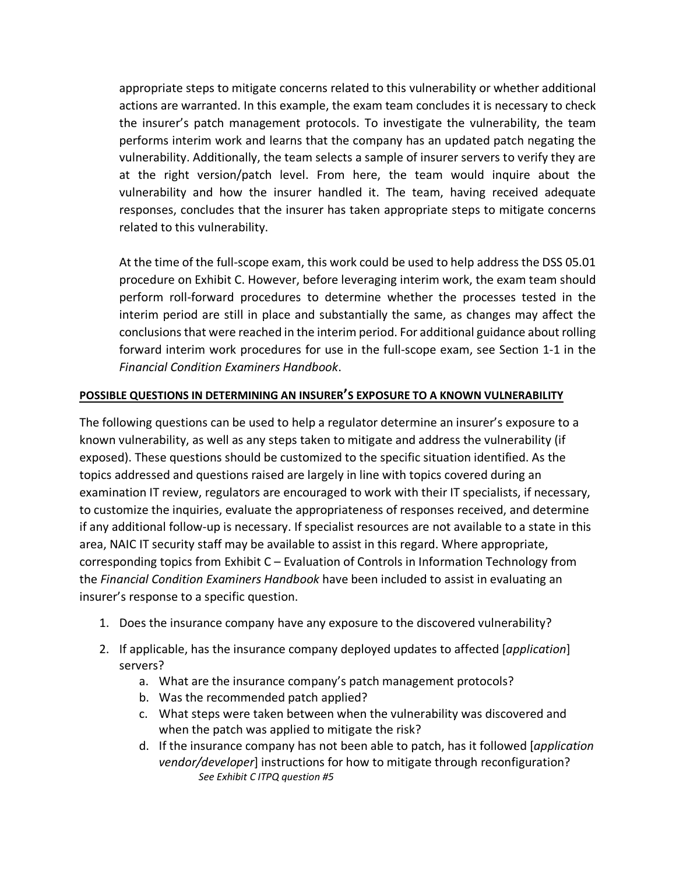appropriate steps to mitigate concerns related to this vulnerability or whether additional actions are warranted. In this example, the exam team concludes it is necessary to check the insurer's patch management protocols. To investigate the vulnerability, the team performs interim work and learns that the company has an updated patch negating the vulnerability. Additionally, the team selects a sample of insurer servers to verify they are at the right version/patch level. From here, the team would inquire about the vulnerability and how the insurer handled it. The team, having received adequate responses, concludes that the insurer has taken appropriate steps to mitigate concerns related to this vulnerability.

At the time of the full-scope exam, this work could be used to help address the DSS 05.01 procedure on Exhibit C. However, before leveraging interim work, the exam team should perform roll-forward procedures to determine whether the processes tested in the interim period are still in place and substantially the same, as changes may affect the conclusions that were reached in the interim period. For additional guidance about rolling forward interim work procedures for use in the full-scope exam, see Section 1-1 in the *Financial Condition Examiners Handbook*.

### **POSSIBLE QUESTIONS IN DETERMINING AN INSURER'S EXPOSURE TO A KNOWN VULNERABILITY**

The following questions can be used to help a regulator determine an insurer's exposure to a known vulnerability, as well as any steps taken to mitigate and address the vulnerability (if exposed). These questions should be customized to the specific situation identified. As the topics addressed and questions raised are largely in line with topics covered during an examination IT review, regulators are encouraged to work with their IT specialists, if necessary, to customize the inquiries, evaluate the appropriateness of responses received, and determine if any additional follow-up is necessary. If specialist resources are not available to a state in this area, NAIC IT security staff may be available to assist in this regard. Where appropriate, corresponding topics from Exhibit C – Evaluation of Controls in Information Technology from the *Financial Condition Examiners Handbook* have been included to assist in evaluating an insurer's response to a specific question.

- 1. Does the insurance company have any exposure to the discovered vulnerability?
- 2. If applicable, has the insurance company deployed updates to affected [*application*] servers?
	- a. What are the insurance company's patch management protocols?
	- b. Was the recommended patch applied?
	- c. What steps were taken between when the vulnerability was discovered and when the patch was applied to mitigate the risk?
	- d. If the insurance company has not been able to patch, has it followed [*application vendor/developer*] instructions for how to mitigate through reconfiguration? *See Exhibit C ITPQ question #5*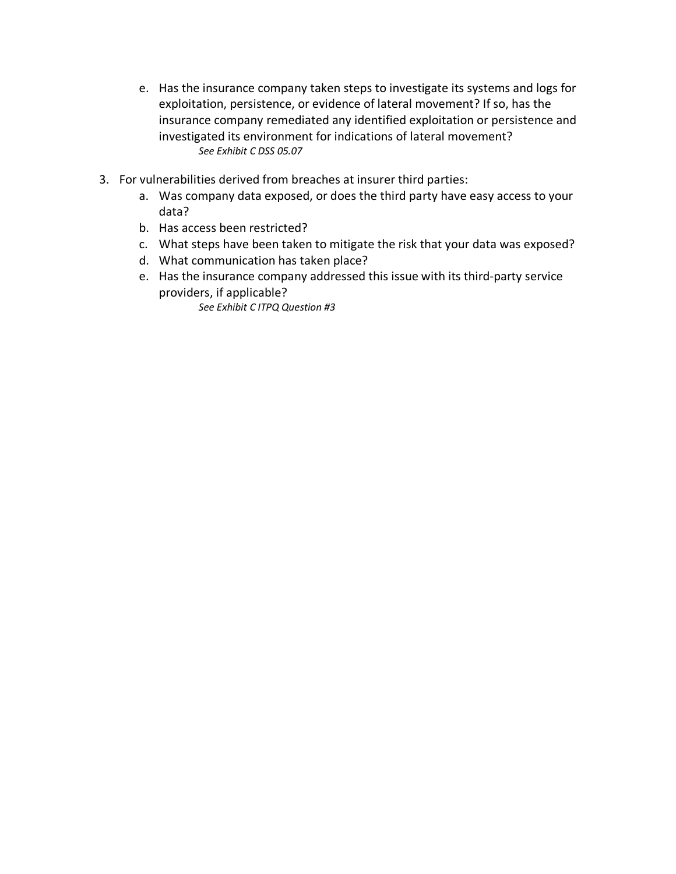- e. Has the insurance company taken steps to investigate its systems and logs for exploitation, persistence, or evidence of lateral movement? If so, has the insurance company remediated any identified exploitation or persistence and investigated its environment for indications of lateral movement? *See Exhibit C DSS 05.07*
- 3. For vulnerabilities derived from breaches at insurer third parties:
	- a. Was company data exposed, or does the third party have easy access to your data?
	- b. Has access been restricted?
	- c. What steps have been taken to mitigate the risk that your data was exposed?
	- d. What communication has taken place?
	- e. Has the insurance company addressed this issue with its third-party service providers, if applicable?

*See Exhibit C ITPQ Question #3*